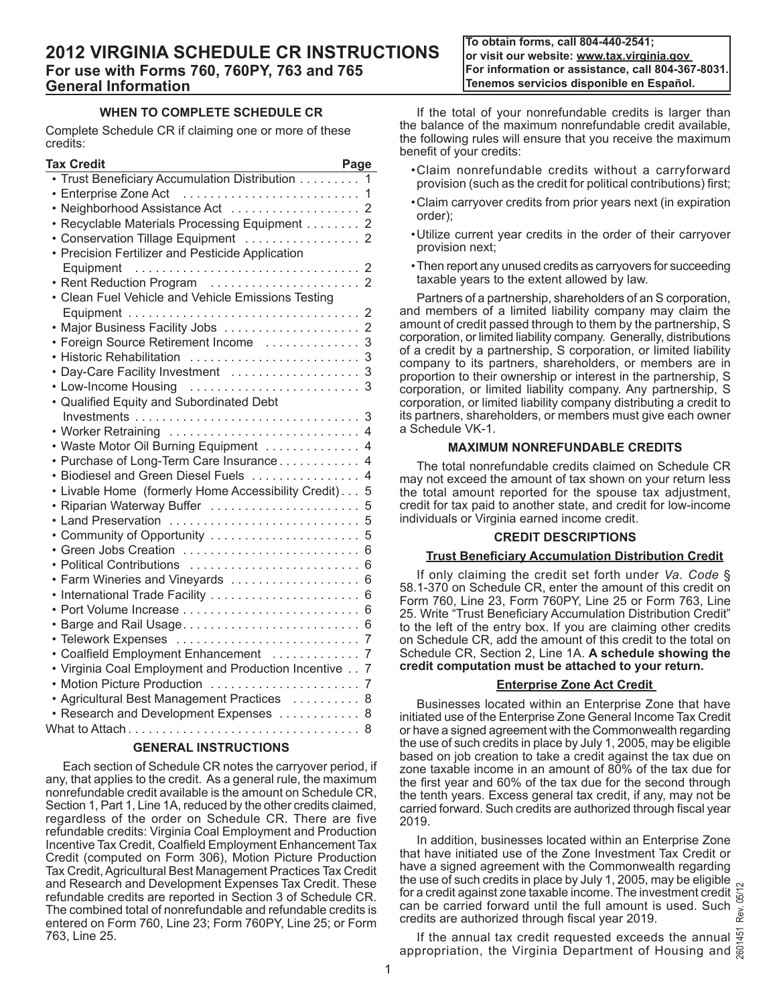**To obtain forms, call 804-440-2541; or visit our website: www.tax.virginia.gov For information or assistance, call 804-367-8031. Tenemos servicios disponible en Español.**

# **WHEN TO COMPLETE SCHEDULE CR**

Complete Schedule CR if claiming one or more of these credits:

| <b>Tax Credit</b>                                 | Page           |
|---------------------------------------------------|----------------|
| Trust Beneficiary Accumulation Distribution       | 1              |
| Enterprise Zone Act                               | 1              |
| Neighborhood Assistance Act                       | $\overline{2}$ |
| Recyclable Materials Processing Equipment         | $\overline{2}$ |
| Conservation Tillage Equipment                    | $\overline{2}$ |
| Precision Fertilizer and Pesticide Application    |                |
| Equipment                                         | $\overline{2}$ |
|                                                   |                |
| Clean Fuel Vehicle and Vehicle Emissions Testing  |                |
|                                                   | 2              |
| Major Business Facility Jobs  2                   |                |
| Foreign Source Retirement Income                  | 3              |
| Historic Rehabilitation                           | 3              |
| Day-Care Facility Investment                      | 3              |
| Low-Income Housing                                | 3              |
| • Qualified Equity and Subordinated Debt          |                |
|                                                   | 3              |
| • Worker Retraining  4                            |                |
| Waste Motor Oil Burning Equipment                 | 4              |
| Purchase of Long-Term Care Insurance              | $\overline{4}$ |
| Biodiesel and Green Diesel Fuels                  | 4              |
| Livable Home (formerly Home Accessibility Credit) | 5              |
| Riparian Waterway Buffer                          | 5              |
| Land Preservation                                 | 5              |
| Community of Opportunity                          | 5              |
| Green Jobs Creation                               | 6              |
| Political Contributions                           | 6              |
| Farm Wineries and Vineyards                       | 6              |
|                                                   | 6              |
|                                                   | 6              |
| Barge and Rail Usage                              | 6              |
| Telework Expenses                                 | 7              |
| Coalfield Employment Enhancement                  | 7              |
| Virginia Coal Employment and Production Incentive | 7              |
| <b>Motion Picture Production</b>                  | $\overline{7}$ |
| • Agricultural Best Management Practices          | 8              |
| • Research and Development Expenses               | 8              |
|                                                   | 8              |

# **GENERAL INSTRUCTIONS**

Each section of Schedule CR notes the carryover period, if any, that applies to the credit. As a general rule, the maximum nonrefundable credit available is the amount on Schedule CR, Section 1, Part 1, Line 1A, reduced by the other credits claimed, regardless of the order on Schedule CR. There are five refundable credits: Virginia Coal Employment and Production Incentive Tax Credit, Coalfield Employment Enhancement Tax Credit (computed on Form 306), Motion Picture Production Tax Credit, Agricultural Best Management Practices Tax Credit and Research and Development Expenses Tax Credit. These refundable credits are reported in Section 3 of Schedule CR. The combined total of nonrefundable and refundable credits is entered on Form 760, Line 23; Form 760PY, Line 25; or Form 763, Line 25.

If the total of your nonrefundable credits is larger than the balance of the maximum nonrefundable credit available, the following rules will ensure that you receive the maximum benefit of your credits:

- •Claim nonrefundable credits without a carryforward provision (such as the credit for political contributions) first;
- •Claim carryover credits from prior years next (in expiration order);
- •Utilize current year credits in the order of their carryover provision next;
- •Then report any unused credits as carryovers for succeeding taxable years to the extent allowed by law.

Partners of a partnership, shareholders of an S corporation, and members of a limited liability company may claim the amount of credit passed through to them by the partnership, S corporation, or limited liability company. Generally, distributions of a credit by a partnership, S corporation, or limited liability company to its partners, shareholders, or members are in proportion to their ownership or interest in the partnership, S corporation, or limited liability company. Any partnership, S corporation, or limited liability company distributing a credit to its partners, shareholders, or members must give each owner a Schedule VK-1.

# **MAXIMUM NONREFUNDABLE CREDITS**

The total nonrefundable credits claimed on Schedule CR may not exceed the amount of tax shown on your return less the total amount reported for the spouse tax adjustment, credit for tax paid to another state, and credit for low-income individuals or Virginia earned income credit.

# **CREDIT DESCRIPTIONS**

# **Trust Beneficiary Accumulation Distribution Credit**

If only claiming the credit set forth under *Va. Code* § 58.1‑370 on Schedule CR, enter the amount of this credit on Form 760, Line 23, Form 760PY, Line 25 or Form 763, Line 25. Write "Trust Beneficiary Accumulation Distribution Credit" to the left of the entry box. If you are claiming other credits on Schedule CR, add the amount of this credit to the total on Schedule CR, Section 2, Line 1A. **A schedule showing the credit computation must be attached to your return.**

# **Enterprise Zone Act Credit**

Businesses located within an Enterprise Zone that have initiated use of the Enterprise Zone General Income Tax Credit or have a signed agreement with the Commonwealth regarding the use of such credits in place by July 1, 2005, may be eligible based on job creation to take a credit against the tax due on zone taxable income in an amount of 80% of the tax due for the first year and 60% of the tax due for the second through the tenth years. Excess general tax credit, if any, may not be carried forward. Such credits are authorized through fiscal year 2019.

In addition, businesses located within an Enterprise Zone that have initiated use of the Zone Investment Tax Credit or have a signed agreement with the Commonwealth regarding the use of such credits in place by July 1, 2005, may be eligible for a credit against zone taxable income. The investment credit  $\frac{1}{6}$ can be carried forward until the full amount is used. Such credits are authorized through fiscal year 2019.

If the annual tax credit requested exceeds the annual  $\frac{16}{3}$ appropriation, the Virginia Department of Housing and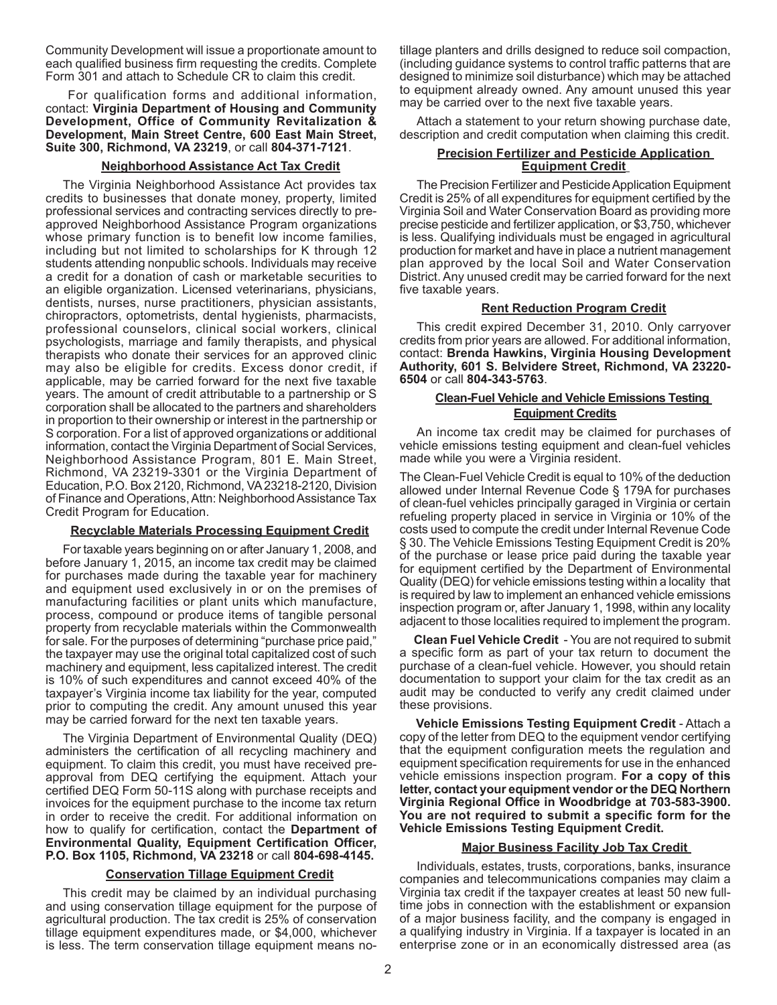Community Development will issue a proportionate amount to each qualified business firm requesting the credits. Complete Form 301 and attach to Schedule CR to claim this credit.

 For qualification forms and additional information, contact: **Virginia Department of Housing and Community Development, Office of Community Revitalization & Development, Main Street Centre, 600 East Main Street, Suite 300, Richmond, VA 23219**, or call **804-371-7121**.

# **Neighborhood Assistance Act Tax Credit**

The Virginia Neighborhood Assistance Act provides tax credits to businesses that donate money, property, limited professional services and contracting services directly to preapproved Neighborhood Assistance Program organizations whose primary function is to benefit low income families, including but not limited to scholarships for K through 12 students attending nonpublic schools. Individuals may receive a credit for a donation of cash or marketable securities to an eligible organization. Licensed veterinarians, physicians, dentists, nurses, nurse practitioners, physician assistants, chiropractors, optometrists, dental hygienists, pharmacists, professional counselors, clinical social workers, clinical psychologists, marriage and family therapists, and physical therapists who donate their services for an approved clinic may also be eligible for credits. Excess donor credit, if applicable, may be carried forward for the next five taxable years. The amount of credit attributable to a partnership or S corporation shall be allocated to the partners and shareholders in proportion to their ownership or interest in the partnership or S corporation. For a list of approved organizations or additional information, contact the Virginia Department of Social Services, Neighborhood Assistance Program, 801 E. Main Street, Richmond, VA 23219-3301 or the Virginia Department of Education, P.O. Box 2120, Richmond, VA 23218-2120, Division of Finance and Operations, Attn: Neighborhood Assistance Tax Credit Program for Education.

# **Recyclable Materials Processing Equipment Credit**

For taxable years beginning on or after January 1, 2008, and before January 1, 2015, an income tax credit may be claimed for purchases made during the taxable year for machinery and equipment used exclusively in or on the premises of manufacturing facilities or plant units which manufacture, process, compound or produce items of tangible personal property from recyclable materials within the Commonwealth for sale. For the purposes of determining "purchase price paid," the taxpayer may use the original total capitalized cost of such machinery and equipment, less capitalized interest. The credit is 10% of such expenditures and cannot exceed 40% of the taxpayer's Virginia income tax liability for the year, computed prior to computing the credit. Any amount unused this year may be carried forward for the next ten taxable years.

The Virginia Department of Environmental Quality (DEQ) administers the certification of all recycling machinery and equipment. To claim this credit, you must have received preapproval from DEQ certifying the equipment. Attach your certified DEQ Form 50-11S along with purchase receipts and invoices for the equipment purchase to the income tax return in order to receive the credit. For additional information on how to qualify for certification, contact the **Department of Environmental Quality, Equipment Certification Officer, P.O. Box 1105, Richmond, VA 23218** or call **804-698-4145.**

### **Conservation Tillage Equipment Credit**

This credit may be claimed by an individual purchasing and using conservation tillage equipment for the purpose of agricultural production. The tax credit is 25% of conservation tillage equipment expenditures made, or \$4,000, whichever is less. The term conservation tillage equipment means notillage planters and drills designed to reduce soil compaction, (including guidance systems to control traffic patterns that are designed to minimize soil disturbance) which may be attached to equipment already owned. Any amount unused this year may be carried over to the next five taxable years.

Attach a statement to your return showing purchase date, description and credit computation when claiming this credit.

### **Precision Fertilizer and Pesticide Application Equipment Credit**

The Precision Fertilizer and Pesticide Application Equipment Credit is 25% of all expenditures for equipment certified by the Virginia Soil and Water Conservation Board as providing more precise pesticide and fertilizer application, or \$3,750, whichever is less. Qualifying individuals must be engaged in agricultural production for market and have in place a nutrient management plan approved by the local Soil and Water Conservation District. Any unused credit may be carried forward for the next five taxable years.

### **Rent Reduction Program Credit**

This credit expired December 31, 2010. Only carryover credits from prior years are allowed. For additional information, contact: **Brenda Hawkins, Virginia Housing Development Authority, 601 S. Belvidere Street, Richmond, VA 23220- 6504** or call **804-343-5763**.

# **Clean-Fuel Vehicle and Vehicle Emissions Testing Equipment Credits**

An income tax credit may be claimed for purchases of vehicle emissions testing equipment and clean-fuel vehicles made while you were a Virginia resident.

The Clean-Fuel Vehicle Credit is equal to 10% of the deduction allowed under Internal Revenue Code § 179A for purchases of clean-fuel vehicles principally garaged in Virginia or certain refueling property placed in service in Virginia or 10% of the costs used to compute the credit under Internal Revenue Code § 30. The Vehicle Emissions Testing Equipment Credit is 20% of the purchase or lease price paid during the taxable year for equipment certified by the Department of Environmental Quality (DEQ) for vehicle emissions testing within a locality that is required by law to implement an enhanced vehicle emissions inspection program or, after January 1, 1998, within any locality adjacent to those localities required to implement the program.

**Clean Fuel Vehicle Credit** - You are not required to submit a specific form as part of your tax return to document the purchase of a clean-fuel vehicle. However, you should retain documentation to support your claim for the tax credit as an audit may be conducted to verify any credit claimed under these provisions.

**Vehicle Emissions Testing Equipment Credit** - Attach a copy of the letter from DEQ to the equipment vendor certifying that the equipment configuration meets the regulation and equipment specification requirements for use in the enhanced vehicle emissions inspection program. **For a copy of this letter, contact your equipment vendor or the DEQ Northern Virginia Regional Office in Woodbridge at 703-583-3900. You are not required to submit a specific form for the Vehicle Emissions Testing Equipment Credit.**

### **Major Business Facility Job Tax Credit**

Individuals, estates, trusts, corporations, banks, insurance companies and telecommunications companies may claim a Virginia tax credit if the taxpayer creates at least 50 new fulltime jobs in connection with the establishment or expansion of a major business facility, and the company is engaged in a qualifying industry in Virginia. If a taxpayer is located in an enterprise zone or in an economically distressed area (as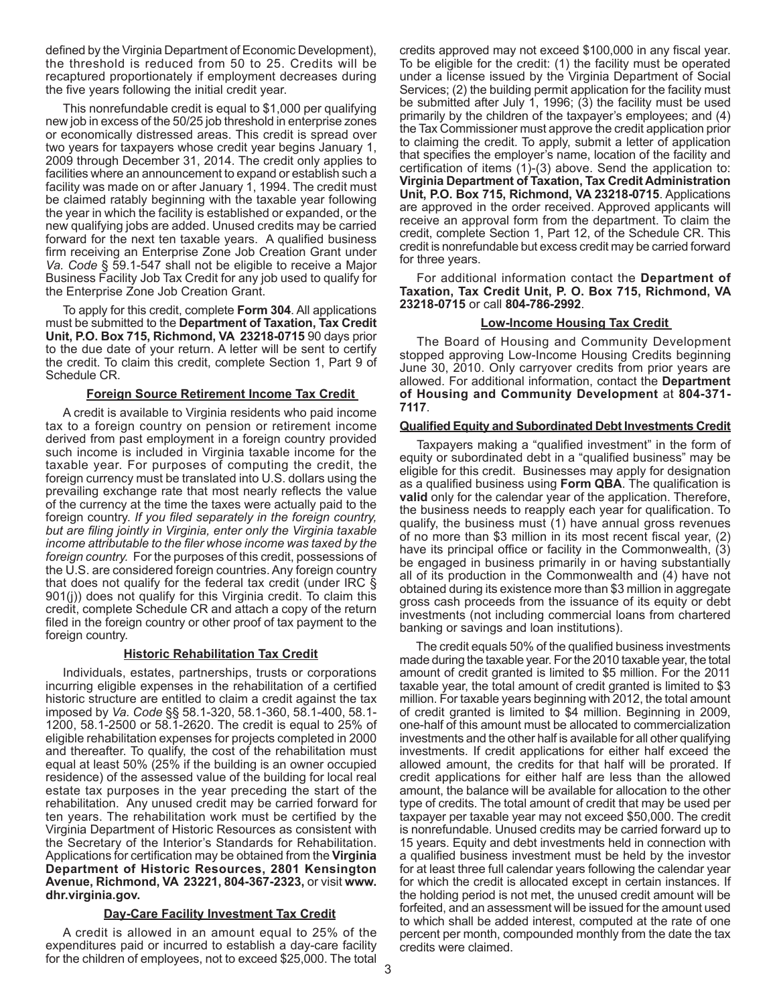defined by the Virginia Department of Economic Development), the threshold is reduced from 50 to 25. Credits will be recaptured proportionately if employment decreases during the five years following the initial credit year.

This nonrefundable credit is equal to \$1,000 per qualifying new job in excess of the 50/25 job threshold in enterprise zones or economically distressed areas. This credit is spread over two years for taxpayers whose credit year begins January 1, 2009 through December 31, 2014. The credit only applies to facilities where an announcement to expand or establish such a facility was made on or after January 1, 1994. The credit must be claimed ratably beginning with the taxable year following the year in which the facility is established or expanded, or the new qualifying jobs are added. Unused credits may be carried forward for the next ten taxable years. A qualified business firm receiving an Enterprise Zone Job Creation Grant under *Va. Code* § 59.1-547 shall not be eligible to receive a Major Business Facility Job Tax Credit for any job used to qualify for the Enterprise Zone Job Creation Grant.

To apply for this credit, complete **Form 304**. All applications must be submitted to the **Department of Taxation, Tax Credit Unit, P.O. Box 715, Richmond, VA 23218-0715** 90 days prior to the due date of your return. A letter will be sent to certify the credit. To claim this credit, complete Section 1, Part 9 of Schedule CR.

# **Foreign Source Retirement Income Tax Credit**

A credit is available to Virginia residents who paid income tax to a foreign country on pension or retirement income derived from past employment in a foreign country provided such income is included in Virginia taxable income for the taxable year. For purposes of computing the credit, the foreign currency must be translated into U.S. dollars using the prevailing exchange rate that most nearly reflects the value of the currency at the time the taxes were actually paid to the foreign country. *If you filed separately in the foreign country, but are filing jointly in Virginia, enter only the Virginia taxable income attributable to the filer whose income was taxed by the foreign country.* For the purposes of this credit, possessions of the U.S. are considered foreign countries. Any foreign country that does not qualify for the federal tax credit (under IRC § 901(j)) does not qualify for this Virginia credit. To claim this credit, complete Schedule CR and attach a copy of the return filed in the foreign country or other proof of tax payment to the foreign country.

# **Historic Rehabilitation Tax Credit**

Individuals, estates, partnerships, trusts or corporations incurring eligible expenses in the rehabilitation of a certified historic structure are entitled to claim a credit against the tax imposed by *Va. Code* §§ 58.1-320, 58.1-360, 58.1-400, 58.1- 1200, 58.1-2500 or 58.1-2620. The credit is equal to 25% of eligible rehabilitation expenses for projects completed in 2000 and thereafter. To qualify, the cost of the rehabilitation must equal at least 50% (25% if the building is an owner occupied residence) of the assessed value of the building for local real estate tax purposes in the year preceding the start of the rehabilitation. Any unused credit may be carried forward for ten years. The rehabilitation work must be certified by the Virginia Department of Historic Resources as consistent with the Secretary of the Interior's Standards for Rehabilitation. Applications for certification may be obtained from the **Virginia Department of Historic Resources, 2801 Kensington Avenue, Richmond, VA 23221, 804-367-2323,** or visit **www. dhr.virginia.gov.** 

# **Day-Care Facility Investment Tax Credit**

A credit is allowed in an amount equal to 25% of the expenditures paid or incurred to establish a day-care facility for the children of employees, not to exceed \$25,000. The total credits approved may not exceed \$100,000 in any fiscal year. To be eligible for the credit: (1) the facility must be operated under a license issued by the Virginia Department of Social Services; (2) the building permit application for the facility must be submitted after July 1, 1996; (3) the facility must be used primarily by the children of the taxpayer's employees; and (4) the Tax Commissioner must approve the credit application prior to claiming the credit. To apply, submit a letter of application that specifies the employer's name, location of the facility and certification of items (1)-(3) above. Send the application to: **Virginia Department of Taxation, Tax Credit Administration Unit, P.O. Box 715, Richmond, VA 23218-0715**. Applications are approved in the order received. Approved applicants will receive an approval form from the department. To claim the credit, complete Section 1, Part 12, of the Schedule CR. This credit is nonrefundable but excess credit may be carried forward for three years.

For additional information contact the **Department of Taxation, Tax Credit Unit, P. O. Box 715, Richmond, VA 23218-0715** or call **804-786-2992**.

# **Low-Income Housing Tax Credit**

The Board of Housing and Community Development stopped approving Low-Income Housing Credits beginning June 30, 2010. Only carryover credits from prior years are allowed. For additional information, contact the **Department of Housing and Community Development** at **804-371- 7117**.

# **Qualified Equity and Subordinated Debt Investments Credit**

Taxpayers making a "qualified investment" in the form of equity or subordinated debt in a "qualified business" may be eligible for this credit. Businesses may apply for designation as a qualified business using **Form QBA**. The qualification is **valid** only for the calendar year of the application. Therefore, the business needs to reapply each year for qualification. To qualify, the business must (1) have annual gross revenues of no more than \$3 million in its most recent fiscal year, (2) have its principal office or facility in the Commonwealth, (3) be engaged in business primarily in or having substantially all of its production in the Commonwealth and (4) have not obtained during its existence more than \$3 million in aggregate gross cash proceeds from the issuance of its equity or debt investments (not including commercial loans from chartered banking or savings and loan institutions).

The credit equals 50% of the qualified business investments made during the taxable year. For the 2010 taxable year, the total amount of credit granted is limited to \$5 million. For the 2011 taxable year, the total amount of credit granted is limited to \$3 million. For taxable years beginning with 2012, the total amount of credit granted is limited to \$4 million. Beginning in 2009, one-half of this amount must be allocated to commercialization investments and the other half is available for all other qualifying investments. If credit applications for either half exceed the allowed amount, the credits for that half will be prorated. If credit applications for either half are less than the allowed amount, the balance will be available for allocation to the other type of credits. The total amount of credit that may be used per taxpayer per taxable year may not exceed \$50,000. The credit is nonrefundable. Unused credits may be carried forward up to 15 years. Equity and debt investments held in connection with a qualified business investment must be held by the investor for at least three full calendar years following the calendar year for which the credit is allocated except in certain instances. If the holding period is not met, the unused credit amount will be forfeited, and an assessment will be issued for the amount used to which shall be added interest, computed at the rate of one percent per month, compounded monthly from the date the tax credits were claimed.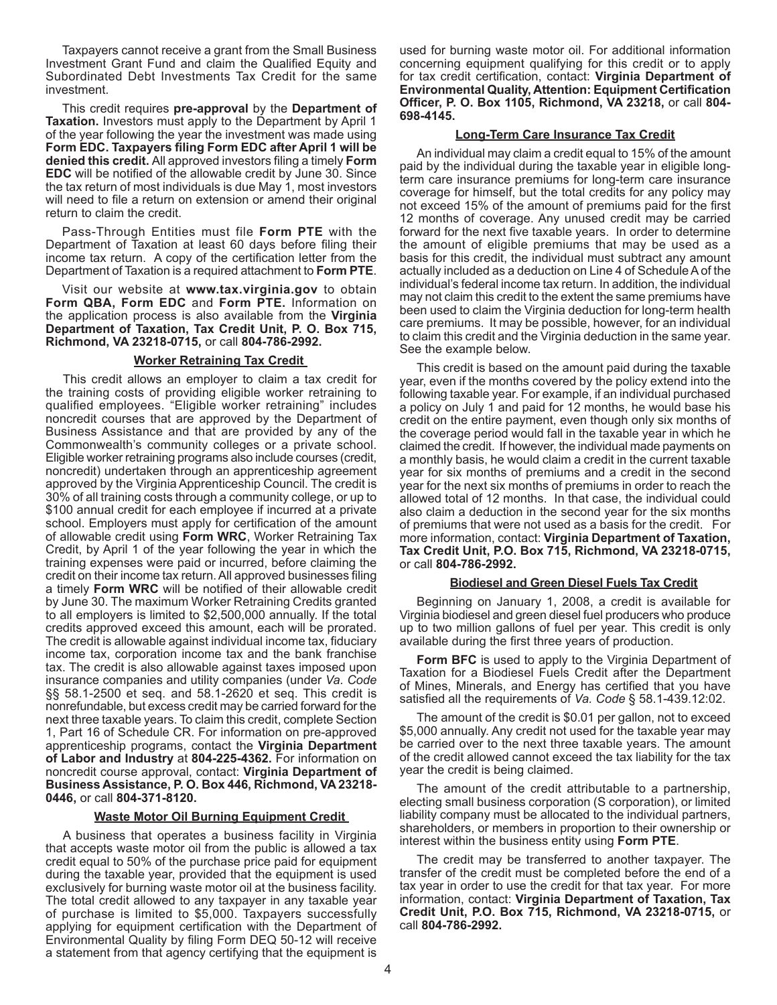Taxpayers cannot receive a grant from the Small Business Investment Grant Fund and claim the Qualified Equity and Subordinated Debt Investments Tax Credit for the same investment.

This credit requires **pre-approval** by the **Department of Taxation.** Investors must apply to the Department by April 1 of the year following the year the investment was made using **Form EDC. Taxpayers filing Form EDC after April 1 will be denied this credit.** All approved investors filing a timely **Form EDC** will be notified of the allowable credit by June 30. Since the tax return of most individuals is due May 1, most investors will need to file a return on extension or amend their original return to claim the credit.

Pass-Through Entities must file **Form PTE** with the Department of Taxation at least 60 days before filing their income tax return. A copy of the certification letter from the Department of Taxation is a required attachment to **Form PTE**.

Visit our website at **www.tax.virginia.gov** to obtain **Form QBA, Form EDC** and **Form PTE.** Information on the application process is also available from the **Virginia Department of Taxation, Tax Credit Unit, P. O. Box 715, Richmond, VA 23218-0715,** or call **804-786-2992.**

# **Worker Retraining Tax Credit**

This credit allows an employer to claim a tax credit for the training costs of providing eligible worker retraining to qualified employees. "Eligible worker retraining" includes noncredit courses that are approved by the Department of Business Assistance and that are provided by any of the Commonwealth's community colleges or a private school. Eligible worker retraining programs also include courses (credit, noncredit) undertaken through an apprenticeship agreement approved by the Virginia Apprenticeship Council. The credit is 30% of all training costs through a community college, or up to \$100 annual credit for each employee if incurred at a private school. Employers must apply for certification of the amount of allowable credit using **Form WRC**, Worker Retraining Tax Credit, by April 1 of the year following the year in which the training expenses were paid or incurred, before claiming the credit on their income tax return. All approved businesses filing a timely **Form WRC** will be notified of their allowable credit by June 30. The maximum Worker Retraining Credits granted to all employers is limited to \$2,500,000 annually. If the total credits approved exceed this amount, each will be prorated. The credit is allowable against individual income tax, fiduciary income tax, corporation income tax and the bank franchise tax. The credit is also allowable against taxes imposed upon insurance companies and utility companies (under *Va. Code* §§ 58.1-2500 et seq. and 58.1-2620 et seq. This credit is nonrefundable, but excess credit may be carried forward for the next three taxable years. To claim this credit, complete Section 1, Part 16 of Schedule CR. For information on pre-approved apprenticeship programs, contact the **Virginia Department of Labor and Industry** at **804-225-4362.** For information on noncredit course approval, contact: **Virginia Department of Business Assistance, P. O. Box 446, Richmond, VA 23218- 0446,** or call **804-371-8120.**

### **Waste Motor Oil Burning Equipment Credit**

A business that operates a business facility in Virginia that accepts waste motor oil from the public is allowed a tax credit equal to 50% of the purchase price paid for equipment during the taxable year, provided that the equipment is used exclusively for burning waste motor oil at the business facility. The total credit allowed to any taxpayer in any taxable year of purchase is limited to \$5,000. Taxpayers successfully applying for equipment certification with the Department of Environmental Quality by filing Form DEQ 50-12 will receive a statement from that agency certifying that the equipment is

used for burning waste motor oil. For additional information concerning equipment qualifying for this credit or to apply for tax credit certification, contact: **Virginia Department of Environmental Quality, Attention: Equipment Certification Officer, P. O. Box 1105, Richmond, VA 23218,** or call **804- 698-4145.**

### **Long-Term Care Insurance Tax Credit**

An individual may claim a credit equal to 15% of the amount paid by the individual during the taxable year in eligible longterm care insurance premiums for long-term care insurance coverage for himself, but the total credits for any policy may not exceed 15% of the amount of premiums paid for the first 12 months of coverage. Any unused credit may be carried forward for the next five taxable years. In order to determine the amount of eligible premiums that may be used as a basis for this credit, the individual must subtract any amount actually included as a deduction on Line 4 of Schedule A of the individual's federal income tax return. In addition, the individual may not claim this credit to the extent the same premiums have been used to claim the Virginia deduction for long-term health care premiums. It may be possible, however, for an individual to claim this credit and the Virginia deduction in the same year. See the example below.

This credit is based on the amount paid during the taxable year, even if the months covered by the policy extend into the following taxable year. For example, if an individual purchased a policy on July 1 and paid for 12 months, he would base his credit on the entire payment, even though only six months of the coverage period would fall in the taxable year in which he claimed the credit. If however, the individual made payments on a monthly basis, he would claim a credit in the current taxable year for six months of premiums and a credit in the second year for the next six months of premiums in order to reach the allowed total of 12 months. In that case, the individual could also claim a deduction in the second year for the six months of premiums that were not used as a basis for the credit. For more information, contact: **Virginia Department of Taxation, Tax Credit Unit, P.O. Box 715, Richmond, VA 23218-0715,**  or call **804-786-2992.**

#### **Biodiesel and Green Diesel Fuels Tax Credit**

Beginning on January 1, 2008, a credit is available for Virginia biodiesel and green diesel fuel producers who produce up to two million gallons of fuel per year. This credit is only available during the first three years of production.

**Form BFC** is used to apply to the Virginia Department of Taxation for a Biodiesel Fuels Credit after the Department of Mines, Minerals, and Energy has certified that you have satisfied all the requirements of *Va. Code* § 58.1-439.12:02.

The amount of the credit is \$0.01 per gallon, not to exceed \$5,000 annually. Any credit not used for the taxable year may be carried over to the next three taxable years. The amount of the credit allowed cannot exceed the tax liability for the tax year the credit is being claimed.

The amount of the credit attributable to a partnership, electing small business corporation (S corporation), or limited liability company must be allocated to the individual partners, shareholders, or members in proportion to their ownership or interest within the business entity using **Form PTE**.

The credit may be transferred to another taxpayer. The transfer of the credit must be completed before the end of a tax year in order to use the credit for that tax year. For more information, contact: **Virginia Department of Taxation, Tax Credit Unit, P.O. Box 715, Richmond, VA 23218-0715,** or call **804-786-2992.**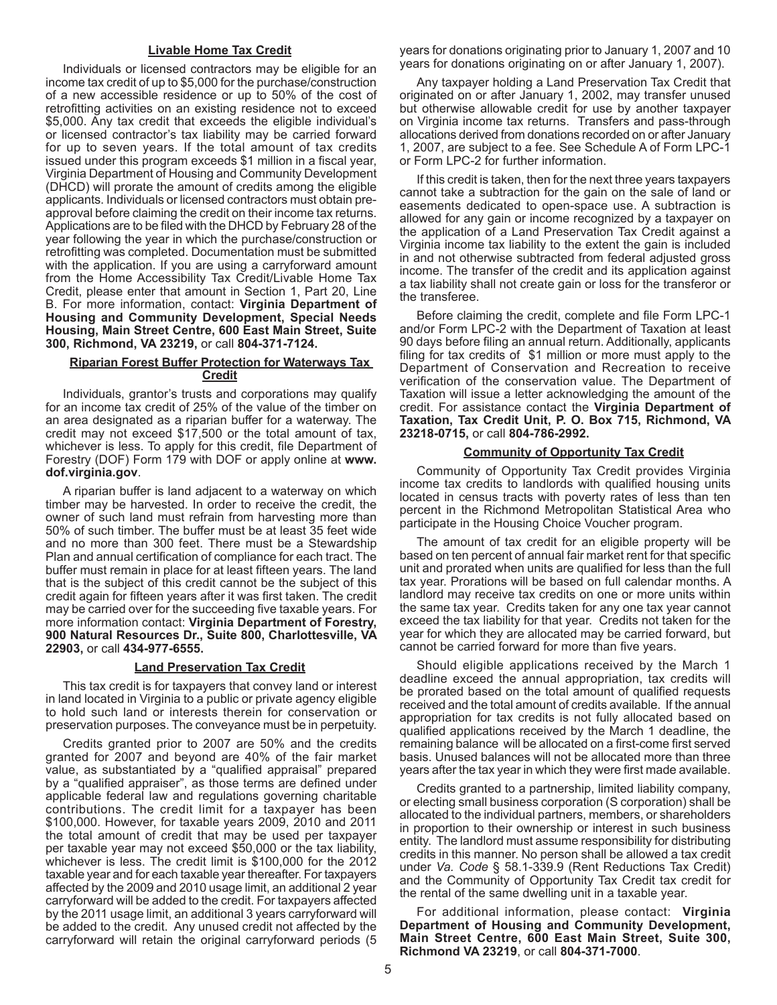### **Livable Home Tax Credit**

Individuals or licensed contractors may be eligible for an income tax credit of up to \$5,000 for the purchase/construction of a new accessible residence or up to 50% of the cost of retrofitting activities on an existing residence not to exceed \$5,000. Any tax credit that exceeds the eligible individual's or licensed contractor's tax liability may be carried forward for up to seven years. If the total amount of tax credits issued under this program exceeds \$1 million in a fiscal year, Virginia Department of Housing and Community Development (DHCD) will prorate the amount of credits among the eligible applicants. Individuals or licensed contractors must obtain preapproval before claiming the credit on their income tax returns. Applications are to be filed with the DHCD by February 28 of the year following the year in which the purchase/construction or retrofitting was completed. Documentation must be submitted with the application. If you are using a carryforward amount from the Home Accessibility Tax Credit/Livable Home Tax Credit, please enter that amount in Section 1, Part 20, Line B. For more information, contact: **Virginia Department of Housing and Community Development, Special Needs Housing, Main Street Centre, 600 East Main Street, Suite 300, Richmond, VA 23219,** or call **804-371-7124.**

### **Riparian Forest Buffer Protection for Waterways Tax Credit**

Individuals, grantor's trusts and corporations may qualify for an income tax credit of 25% of the value of the timber on an area designated as a riparian buffer for a waterway. The credit may not exceed \$17,500 or the total amount of tax, whichever is less. To apply for this credit, file Department of Forestry (DOF) Form 179 with DOF or apply online at **www. dof.virginia.gov**.

A riparian buffer is land adjacent to a waterway on which timber may be harvested. In order to receive the credit, the owner of such land must refrain from harvesting more than 50% of such timber. The buffer must be at least 35 feet wide and no more than 300 feet. There must be a Stewardship Plan and annual certification of compliance for each tract. The buffer must remain in place for at least fifteen years. The land that is the subject of this credit cannot be the subject of this credit again for fifteen years after it was first taken. The credit may be carried over for the succeeding five taxable years. For more information contact: **Virginia Department of Forestry, 900 Natural Resources Dr., Suite 800, Charlottesville, VA 22903,** or call **434-977-6555.** 

### **Land Preservation Tax Credit**

This tax credit is for taxpayers that convey land or interest in land located in Virginia to a public or private agency eligible to hold such land or interests therein for conservation or preservation purposes. The conveyance must be in perpetuity.

Credits granted prior to 2007 are 50% and the credits granted for 2007 and beyond are 40% of the fair market value, as substantiated by a "qualified appraisal" prepared by a "qualified appraiser", as those terms are defined under applicable federal law and regulations governing charitable contributions. The credit limit for a taxpayer has been \$100,000. However, for taxable years 2009, 2010 and 2011 the total amount of credit that may be used per taxpayer per taxable year may not exceed \$50,000 or the tax liability, whichever is less. The credit limit is \$100,000 for the 2012 taxable year and for each taxable year thereafter. For taxpayers affected by the 2009 and 2010 usage limit, an additional 2 year carryforward will be added to the credit. For taxpayers affected by the 2011 usage limit, an additional 3 years carryforward will be added to the credit. Any unused credit not affected by the carryforward will retain the original carryforward periods (5

years for donations originating prior to January 1, 2007 and 10 years for donations originating on or after January 1, 2007).

Any taxpayer holding a Land Preservation Tax Credit that originated on or after January 1, 2002, may transfer unused but otherwise allowable credit for use by another taxpayer on Virginia income tax returns. Transfers and pass-through allocations derived from donations recorded on or after January 1, 2007, are subject to a fee. See Schedule A of Form LPC-1 or Form LPC-2 for further information.

If this credit is taken, then for the next three years taxpayers cannot take a subtraction for the gain on the sale of land or easements dedicated to open-space use. A subtraction is allowed for any gain or income recognized by a taxpayer on the application of a Land Preservation Tax Credit against a Virginia income tax liability to the extent the gain is included in and not otherwise subtracted from federal adjusted gross income. The transfer of the credit and its application against a tax liability shall not create gain or loss for the transferor or the transferee.

Before claiming the credit, complete and file Form LPC-1 and/or Form LPC-2 with the Department of Taxation at least 90 days before filing an annual return. Additionally, applicants filing for tax credits of \$1 million or more must apply to the Department of Conservation and Recreation to receive verification of the conservation value. The Department of Taxation will issue a letter acknowledging the amount of the credit. For assistance contact the **Virginia Department of Taxation, Tax Credit Unit, P. O. Box 715, Richmond, VA 23218-0715,** or call **804-786-2992.**

### **Community of Opportunity Tax Credit**

Community of Opportunity Tax Credit provides Virginia income tax credits to landlords with qualified housing units located in census tracts with poverty rates of less than ten percent in the Richmond Metropolitan Statistical Area who participate in the Housing Choice Voucher program.

The amount of tax credit for an eligible property will be based on ten percent of annual fair market rent for that specific unit and prorated when units are qualified for less than the full tax year. Prorations will be based on full calendar months. A landlord may receive tax credits on one or more units within the same tax year. Credits taken for any one tax year cannot exceed the tax liability for that year. Credits not taken for the year for which they are allocated may be carried forward, but cannot be carried forward for more than five years.

Should eligible applications received by the March 1 deadline exceed the annual appropriation, tax credits will be prorated based on the total amount of qualified requests received and the total amount of credits available. If the annual appropriation for tax credits is not fully allocated based on qualified applications received by the March 1 deadline, the remaining balance will be allocated on a first-come first served basis. Unused balances will not be allocated more than three years after the tax year in which they were first made available.

Credits granted to a partnership, limited liability company, or electing small business corporation (S corporation) shall be allocated to the individual partners, members, or shareholders in proportion to their ownership or interest in such business entity. The landlord must assume responsibility for distributing credits in this manner. No person shall be allowed a tax credit under *Va. Code* § 58.1-339.9 (Rent Reductions Tax Credit) and the Community of Opportunity Tax Credit tax credit for the rental of the same dwelling unit in a taxable year.

For additional information, please contact: **Virginia Department of Housing and Community Development, Main Street Centre, 600 East Main Street, Suite 300, Richmond VA 23219**, or call **804-371-7000**.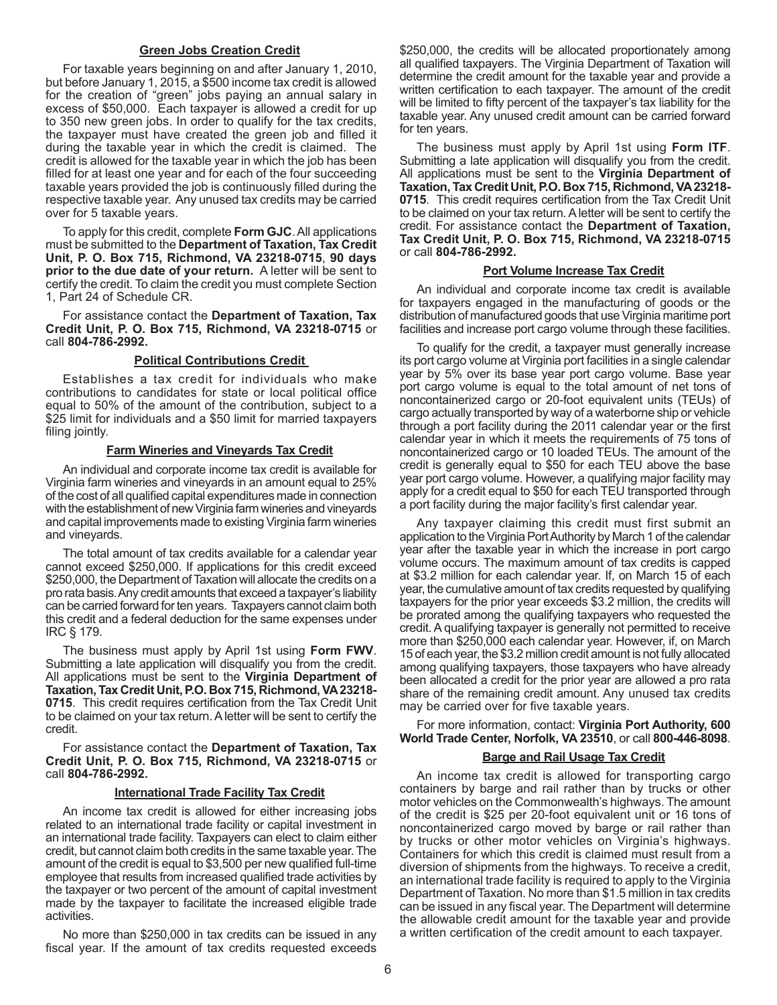### **Green Jobs Creation Credit**

For taxable years beginning on and after January 1, 2010, but before January 1, 2015, a \$500 income tax credit is allowed for the creation of "green" jobs paying an annual salary in excess of \$50,000. Each taxpayer is allowed a credit for up to 350 new green jobs. In order to qualify for the tax credits, the taxpayer must have created the green job and filled it during the taxable year in which the credit is claimed. The credit is allowed for the taxable year in which the job has been filled for at least one year and for each of the four succeeding taxable years provided the job is continuously filled during the respective taxable year. Any unused tax credits may be carried over for 5 taxable years.

To apply for this credit, complete **Form GJC**. All applications must be submitted to the **Department of Taxation, Tax Credit Unit, P. O. Box 715, Richmond, VA 23218-0715**, **90 days prior to the due date of your return.** A letter will be sent to certify the credit. To claim the credit you must complete Section 1, Part 24 of Schedule CR.

For assistance contact the **Department of Taxation, Tax Credit Unit, P. O. Box 715, Richmond, VA 23218-0715** or call **804-786-2992.**

### **Political Contributions Credit**

Establishes a tax credit for individuals who make contributions to candidates for state or local political office equal to 50% of the amount of the contribution, subject to a \$25 limit for individuals and a \$50 limit for married taxpayers filing jointly.

#### **Farm Wineries and Vineyards Tax Credit**

An individual and corporate income tax credit is available for Virginia farm wineries and vineyards in an amount equal to 25% of the cost of all qualified capital expenditures made in connection with the establishment of new Virginia farm wineries and vineyards and capital improvements made to existing Virginia farm wineries and vineyards.

The total amount of tax credits available for a calendar year cannot exceed \$250,000. If applications for this credit exceed \$250,000, the Department of Taxation will allocate the credits on a pro rata basis. Any credit amounts that exceed a taxpayer's liability can be carried forward for ten years. Taxpayers cannot claim both this credit and a federal deduction for the same expenses under IRC § 179.

The business must apply by April 1st using **Form FWV**. Submitting a late application will disqualify you from the credit. All applications must be sent to the **Virginia Department of Taxation, Tax Credit Unit, P.O. Box 715, Richmond, VA 23218- 0715**. This credit requires certification from the Tax Credit Unit to be claimed on your tax return. A letter will be sent to certify the credit.

For assistance contact the **Department of Taxation, Tax Credit Unit, P. O. Box 715, Richmond, VA 23218-0715** or call **804-786-2992.**

### **International Trade Facility Tax Credit**

An income tax credit is allowed for either increasing jobs related to an international trade facility or capital investment in an international trade facility. Taxpayers can elect to claim either credit, but cannot claim both credits in the same taxable year. The amount of the credit is equal to \$3,500 per new qualified full-time employee that results from increased qualified trade activities by the taxpayer or two percent of the amount of capital investment made by the taxpayer to facilitate the increased eligible trade activities.

No more than \$250,000 in tax credits can be issued in any fiscal year. If the amount of tax credits requested exceeds

\$250,000, the credits will be allocated proportionately among all qualified taxpayers. The Virginia Department of Taxation will determine the credit amount for the taxable year and provide a written certification to each taxpayer. The amount of the credit will be limited to fifty percent of the taxpayer's tax liability for the taxable year. Any unused credit amount can be carried forward for ten years.

The business must apply by April 1st using **Form ITF**. Submitting a late application will disqualify you from the credit. All applications must be sent to the **Virginia Department of Taxation, Tax Credit Unit, P.O. Box 715, Richmond, VA 23218- 0715**. This credit requires certification from the Tax Credit Unit to be claimed on your tax return. A letter will be sent to certify the credit. For assistance contact the **Department of Taxation, Tax Credit Unit, P. O. Box 715, Richmond, VA 23218-0715**  or call **804-786-2992.**

### **Port Volume Increase Tax Credit**

An individual and corporate income tax credit is available for taxpayers engaged in the manufacturing of goods or the distribution of manufactured goods that use Virginia maritime port facilities and increase port cargo volume through these facilities.

To qualify for the credit, a taxpayer must generally increase its port cargo volume at Virginia port facilities in a single calendar year by 5% over its base year port cargo volume. Base year port cargo volume is equal to the total amount of net tons of noncontainerized cargo or 20-foot equivalent units (TEUs) of cargo actually transported by way of a waterborne ship or vehicle through a port facility during the 2011 calendar year or the first calendar year in which it meets the requirements of 75 tons of noncontainerized cargo or 10 loaded TEUs. The amount of the credit is generally equal to \$50 for each TEU above the base year port cargo volume. However, a qualifying major facility may apply for a credit equal to \$50 for each TEU transported through a port facility during the major facility's first calendar year.

Any taxpayer claiming this credit must first submit an application to the Virginia Port Authority by March 1 of the calendar year after the taxable year in which the increase in port cargo volume occurs. The maximum amount of tax credits is capped at \$3.2 million for each calendar year. If, on March 15 of each year, the cumulative amount of tax credits requested by qualifying taxpayers for the prior year exceeds \$3.2 million, the credits will be prorated among the qualifying taxpayers who requested the credit. A qualifying taxpayer is generally not permitted to receive more than \$250,000 each calendar year. However, if, on March 15 of each year, the \$3.2 million credit amount is not fully allocated among qualifying taxpayers, those taxpayers who have already been allocated a credit for the prior year are allowed a pro rata share of the remaining credit amount. Any unused tax credits may be carried over for five taxable years.

For more information, contact: **Virginia Port Authority, 600 World Trade Center, Norfolk, VA 23510**, or call **800-446-8098**.

# **Barge and Rail Usage Tax Credit**

An income tax credit is allowed for transporting cargo containers by barge and rail rather than by trucks or other motor vehicles on the Commonwealth's highways. The amount of the credit is \$25 per 20-foot equivalent unit or 16 tons of noncontainerized cargo moved by barge or rail rather than by trucks or other motor vehicles on Virginia's highways. Containers for which this credit is claimed must result from a diversion of shipments from the highways. To receive a credit, an international trade facility is required to apply to the Virginia Department of Taxation. No more than \$1.5 million in tax credits can be issued in any fiscal year. The Department will determine the allowable credit amount for the taxable year and provide a written certification of the credit amount to each taxpayer.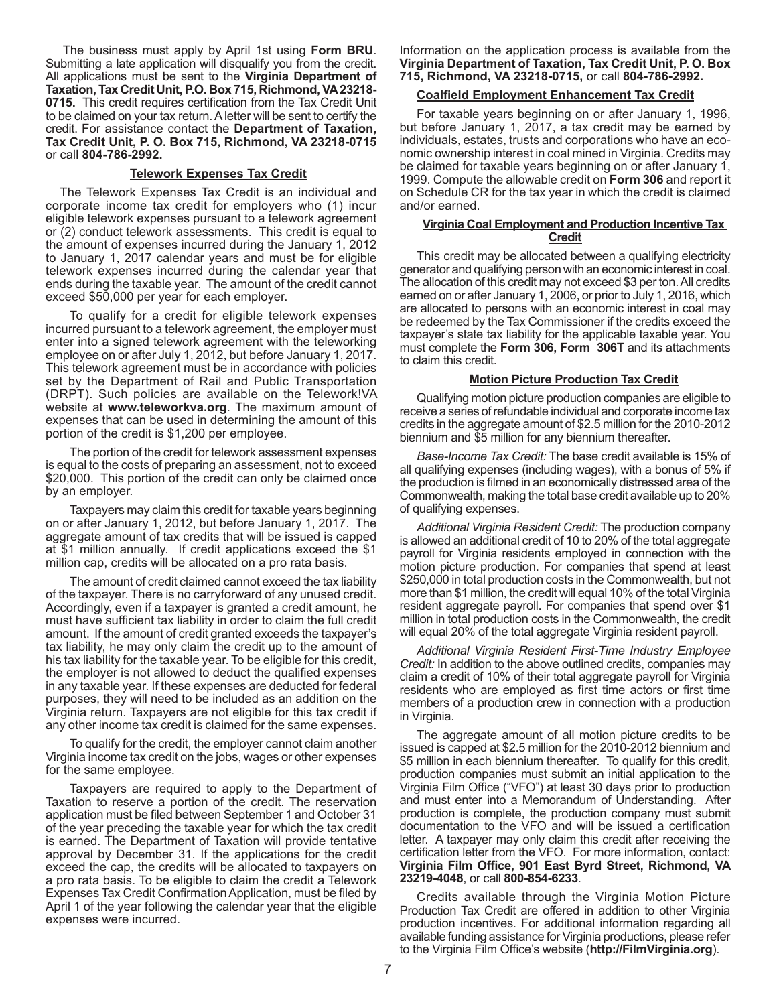The business must apply by April 1st using **Form BRU**. Submitting a late application will disqualify you from the credit. All applications must be sent to the **Virginia Department of Taxation, Tax Credit Unit, P.O. Box 715, Richmond, VA 23218- 0715.** This credit requires certification from the Tax Credit Unit to be claimed on your tax return. A letter will be sent to certify the credit. For assistance contact the **Department of Taxation, Tax Credit Unit, P. O. Box 715, Richmond, VA 23218-0715**  or call **804-786-2992.**

### **Telework Expenses Tax Credit**

The Telework Expenses Tax Credit is an individual and corporate income tax credit for employers who (1) incur eligible telework expenses pursuant to a telework agreement or (2) conduct telework assessments. This credit is equal to the amount of expenses incurred during the January 1, 2012 to January 1, 2017 calendar years and must be for eligible telework expenses incurred during the calendar year that ends during the taxable year. The amount of the credit cannot exceed \$50,000 per year for each employer.

To qualify for a credit for eligible telework expenses incurred pursuant to a telework agreement, the employer must enter into a signed telework agreement with the teleworking employee on or after July 1, 2012, but before January 1, 2017. This telework agreement must be in accordance with policies set by the Department of Rail and Public Transportation (DRPT). Such policies are available on the Telework!VA website at **www.teleworkva.org**. The maximum amount of expenses that can be used in determining the amount of this portion of the credit is \$1,200 per employee.

The portion of the credit for telework assessment expenses is equal to the costs of preparing an assessment, not to exceed \$20,000. This portion of the credit can only be claimed once by an employer.

Taxpayers may claim this credit for taxable years beginning on or after January 1, 2012, but before January 1, 2017. The aggregate amount of tax credits that will be issued is capped at \$1 million annually. If credit applications exceed the \$1 million cap, credits will be allocated on a pro rata basis.

The amount of credit claimed cannot exceed the tax liability of the taxpayer. There is no carryforward of any unused credit. Accordingly, even if a taxpayer is granted a credit amount, he must have sufficient tax liability in order to claim the full credit amount. If the amount of credit granted exceeds the taxpayer's tax liability, he may only claim the credit up to the amount of his tax liability for the taxable year. To be eligible for this credit, the employer is not allowed to deduct the qualified expenses in any taxable year. If these expenses are deducted for federal purposes, they will need to be included as an addition on the Virginia return. Taxpayers are not eligible for this tax credit if any other income tax credit is claimed for the same expenses.

To qualify for the credit, the employer cannot claim another Virginia income tax credit on the jobs, wages or other expenses for the same employee.

Taxpayers are required to apply to the Department of Taxation to reserve a portion of the credit. The reservation application must be filed between September 1 and October 31 of the year preceding the taxable year for which the tax credit is earned. The Department of Taxation will provide tentative approval by December 31. If the applications for the credit exceed the cap, the credits will be allocated to taxpayers on a pro rata basis. To be eligible to claim the credit a Telework Expenses Tax Credit Confirmation Application, must be filed by April 1 of the year following the calendar year that the eligible expenses were incurred.

Information on the application process is available from the **Virginia Department of Taxation, Tax Credit Unit, P. O. Box 715, Richmond, VA 23218-0715,** or call **804-786-2992.**

### **Coalfield Employment Enhancement Tax Credit**

For taxable years beginning on or after January 1, 1996, but before January 1, 2017, a tax credit may be earned by individuals, estates, trusts and corporations who have an economic ownership interest in coal mined in Virginia. Credits may be claimed for taxable years beginning on or after January 1, 1999. Compute the allowable credit on **Form 306** and report it on Schedule CR for the tax year in which the credit is claimed and/or earned.

# **Virginia Coal Employment and Production Incentive Tax Credit**

This credit may be allocated between a qualifying electricity generator and qualifying person with an economic interest in coal. The allocation of this credit may not exceed \$3 per ton. All credits earned on or after January 1, 2006, or prior to July 1, 2016, which are allocated to persons with an economic interest in coal may be redeemed by the Tax Commissioner if the credits exceed the taxpayer's state tax liability for the applicable taxable year. You must complete the **Form 306, Form 306T** and its attachments to claim this credit.

# **Motion Picture Production Tax Credit**

Qualifying motion picture production companies are eligible to receive a series of refundable individual and corporate income tax credits in the aggregate amount of \$2.5 million for the 2010-2012 biennium and \$5 million for any biennium thereafter.

*Base-Income Tax Credit:* The base credit available is 15% of all qualifying expenses (including wages), with a bonus of 5% if the production is filmed in an economically distressed area of the Commonwealth, making the total base credit available up to 20% of qualifying expenses.

*Additional Virginia Resident Credit:* The production company is allowed an additional credit of 10 to 20% of the total aggregate payroll for Virginia residents employed in connection with the motion picture production. For companies that spend at least \$250,000 in total production costs in the Commonwealth, but not more than \$1 million, the credit will equal 10% of the total Virginia resident aggregate payroll. For companies that spend over \$1 million in total production costs in the Commonwealth, the credit will equal 20% of the total aggregate Virginia resident payroll.

*Additional Virginia Resident First-Time Industry Employee Credit:* In addition to the above outlined credits, companies may claim a credit of 10% of their total aggregate payroll for Virginia residents who are employed as first time actors or first time members of a production crew in connection with a production in Virginia.

The aggregate amount of all motion picture credits to be issued is capped at \$2.5 million for the 2010-2012 biennium and \$5 million in each biennium thereafter. To qualify for this credit, production companies must submit an initial application to the Virginia Film Office ("VFO") at least 30 days prior to production and must enter into a Memorandum of Understanding. After production is complete, the production company must submit documentation to the VFO and will be issued a certification letter. A taxpayer may only claim this credit after receiving the certification letter from the VFO. For more information, contact: **Virginia Film Office, 901 East Byrd Street, Richmond, VA 23219-4048**, or call **800-854-6233**.

Credits available through the Virginia Motion Picture Production Tax Credit are offered in addition to other Virginia production incentives. For additional information regarding all available funding assistance for Virginia productions, please refer to the Virginia Film Office's website (**http://FilmVirginia.org**).